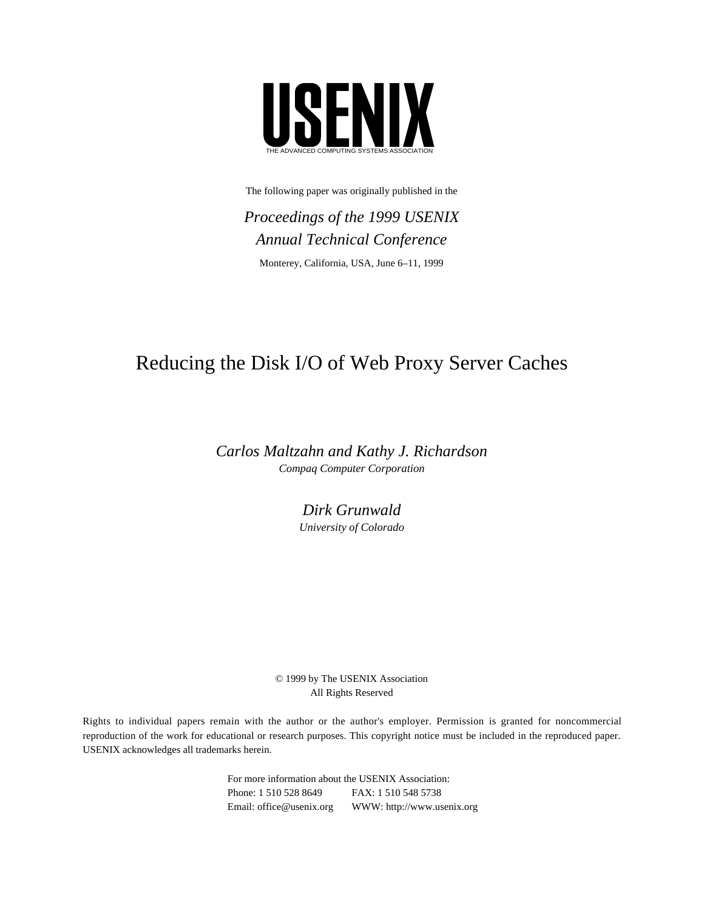

The following paper was originally published in the

*Proceedings of the 1999 USENIX Annual Technical Conference* Monterey, California, USA, June 6–11, 1999

# Reducing the Disk I/O of Web Proxy Server Caches

*Carlos Maltzahn and Kathy J. Richardson Compaq Computer Corporation*

> *Dirk Grunwald University of Colorado*

© 1999 by The USENIX Association All Rights Reserved

Rights to individual papers remain with the author or the author's employer. Permission is granted for noncommercial reproduction of the work for educational or research purposes. This copyright notice must be included in the reproduced paper. USENIX acknowledges all trademarks herein.

> For more information about the USENIX Association: Phone: 1 510 528 8649 FAX: 1 510 548 5738 Email: office@usenix.org WWW: http://www.usenix.org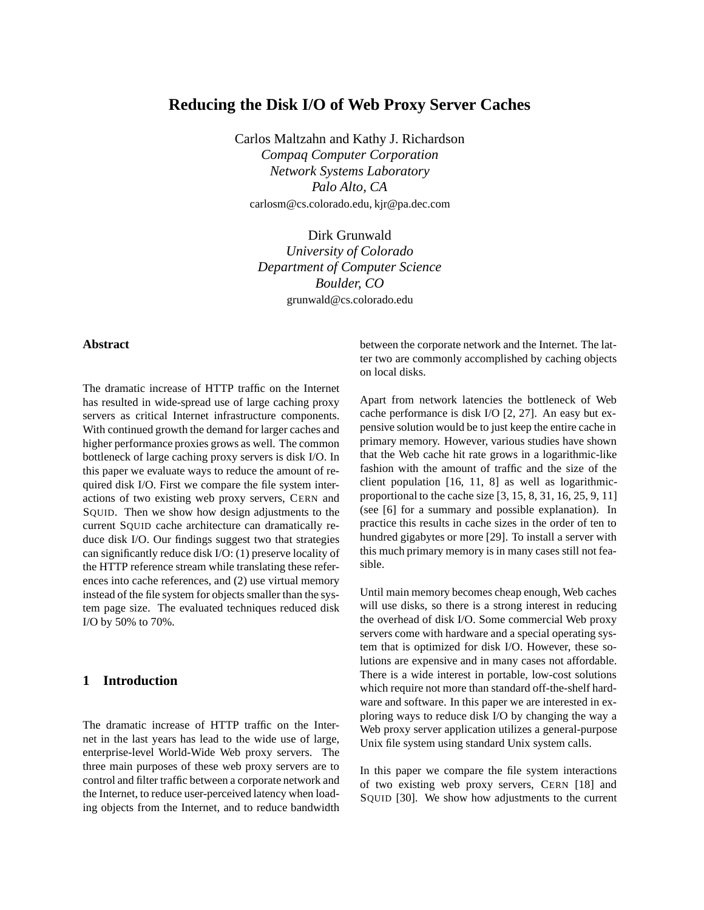# **Reducing the Disk I/O of Web Proxy Server Caches**

Carlos Maltzahn and Kathy J. Richardson *Compaq Computer Corporation Network Systems Laboratory Palo Alto, CA* carlosm@cs.colorado.edu, kjr@pa.dec.com

> Dirk Grunwald *University of Colorado Department of Computer Science Boulder, CO* grunwald@cs.colorado.edu

## **Abstract**

The dramatic increase of HTTP traffic on the Internet has resulted in wide-spread use of large caching proxy servers as critical Internet infrastructure components. With continued growth the demand for larger caches and higher performance proxies grows as well. The common bottleneck of large caching proxy servers is disk I/O. In this paper we evaluate ways to reduce the amount of required disk I/O. First we compare the file system interactions of two existing web proxy servers, CERN and SQUID. Then we show how design adjustments to the current SQUID cache architecture can dramatically reduce disk I/O. Our findings suggest two that strategies can significantly reduce disk I/O: (1) preserve locality of the HTTP reference stream while translating these references into cache references, and (2) use virtual memory instead of the file system for objects smaller than the system page size. The evaluated techniques reduced disk I/O by 50% to 70%.

## **1 Introduction**

The dramatic increase of HTTP traffic on the Internet in the last years has lead to the wide use of large, enterprise-level World-Wide Web proxy servers. The three main purposes of these web proxy servers are to control and filter traffic between a corporate network and the Internet, to reduce user-perceived latency when loading objects from the Internet, and to reduce bandwidth between the corporate network and the Internet. The latter two are commonly accomplished by caching objects on local disks.

Apart from network latencies the bottleneck of Web cache performance is disk I/O [2, 27]. An easy but expensive solution would be to just keep the entire cache in primary memory. However, various studies have shown that the Web cache hit rate grows in a logarithmic-like fashion with the amount of traffic and the size of the client population [16, 11, 8] as well as logarithmicproportional to the cache size [3, 15, 8, 31, 16, 25, 9, 11] (see [6] for a summary and possible explanation). In practice this results in cache sizes in the order of ten to hundred gigabytes or more [29]. To install a server with this much primary memory is in many cases still not feasible.

Until main memory becomes cheap enough, Web caches will use disks, so there is a strong interest in reducing the overhead of disk I/O. Some commercial Web proxy servers come with hardware and a special operating system that is optimized for disk I/O. However, these solutions are expensive and in many cases not affordable. There is a wide interest in portable, low-cost solutions which require not more than standard off-the-shelf hardware and software. In this paper we are interested in exploring ways to reduce disk I/O by changing the way a Web proxy server application utilizes a general-purpose Unix file system using standard Unix system calls.

In this paper we compare the file system interactions of two existing web proxy servers, CERN [18] and SQUID [30]. We show how adjustments to the current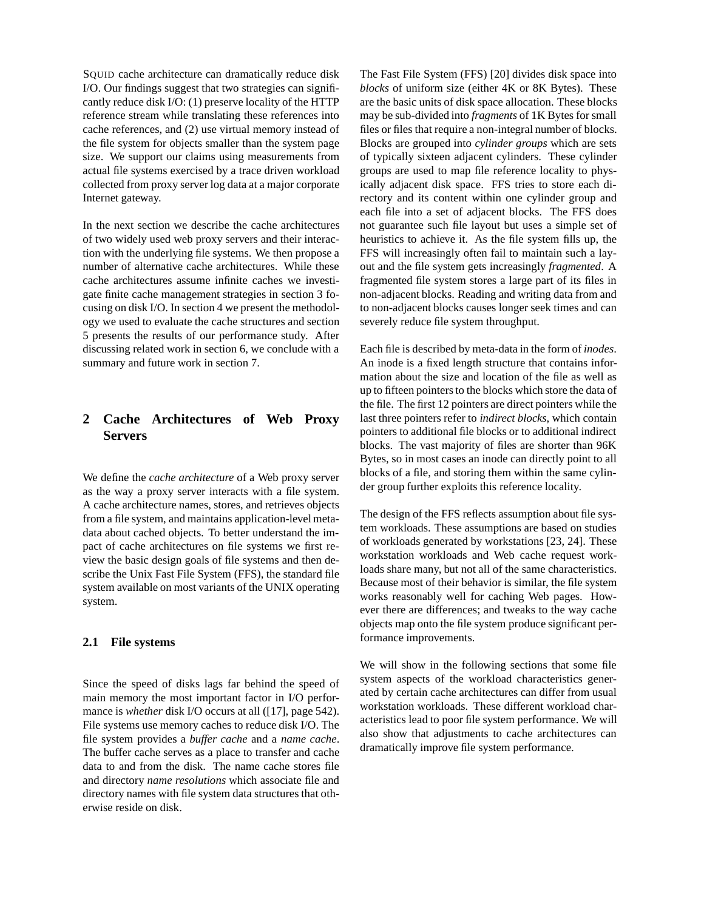SQUID cache architecture can dramatically reduce disk I/O. Our findings suggest that two strategies can significantly reduce disk I/O: (1) preserve locality of the HTTP reference stream while translating these references into cache references, and (2) use virtual memory instead of the file system for objects smaller than the system page size. We support our claims using measurements from actual file systems exercised by a trace driven workload collected from proxy server log data at a major corporate Internet gateway.

In the next section we describe the cache architectures of two widely used web proxy servers and their interaction with the underlying file systems. We then propose a number of alternative cache architectures. While these cache architectures assume infinite caches we investigate finite cache management strategies in section 3 focusing on disk I/O. In section 4 we present the methodology we used to evaluate the cache structures and section 5 presents the results of our performance study. After discussing related work in section 6, we conclude with a summary and future work in section 7.

# **2 Cache Architectures of Web Proxy Servers**

We define the *cache architecture* of a Web proxy server as the way a proxy server interacts with a file system. A cache architecture names, stores, and retrieves objects from a file system, and maintains application-level metadata about cached objects. To better understand the impact of cache architectures on file systems we first review the basic design goals of file systems and then describe the Unix Fast File System (FFS), the standard file system available on most variants of the UNIX operating system.

## **2.1 File systems**

Since the speed of disks lags far behind the speed of main memory the most important factor in I/O performance is *whether* disk I/O occurs at all ([17], page 542). File systems use memory caches to reduce disk I/O. The file system provides a *buffer cache* and a *name cache*. The buffer cache serves as a place to transfer and cache data to and from the disk. The name cache stores file and directory *name resolutions* which associate file and directory names with file system data structures that otherwise reside on disk.

The Fast File System (FFS) [20] divides disk space into *blocks* of uniform size (either 4K or 8K Bytes). These are the basic units of disk space allocation. These blocks may be sub-divided into *fragments* of 1K Bytes for small files or files that require a non-integral number of blocks. Blocks are grouped into *cylinder groups* which are sets of typically sixteen adjacent cylinders. These cylinder groups are used to map file reference locality to physically adjacent disk space. FFS tries to store each directory and its content within one cylinder group and each file into a set of adjacent blocks. The FFS does not guarantee such file layout but uses a simple set of heuristics to achieve it. As the file system fills up, the FFS will increasingly often fail to maintain such a layout and the file system gets increasingly *fragmented*. A fragmented file system stores a large part of its files in non-adjacent blocks. Reading and writing data from and to non-adjacent blocks causes longer seek times and can severely reduce file system throughput.

Each file is described by meta-data in the form of *inodes*. An inode is a fixed length structure that contains information about the size and location of the file as well as up to fifteen pointers to the blocks which store the data of the file. The first 12 pointers are direct pointers while the last three pointers refer to *indirect blocks*, which contain pointers to additional file blocks or to additional indirect blocks. The vast majority of files are shorter than 96K Bytes, so in most cases an inode can directly point to all blocks of a file, and storing them within the same cylinder group further exploits this reference locality.

The design of the FFS reflects assumption about file system workloads. These assumptions are based on studies of workloads generated by workstations [23, 24]. These workstation workloads and Web cache request workloads share many, but not all of the same characteristics. Because most of their behavior is similar, the file system works reasonably well for caching Web pages. However there are differences; and tweaks to the way cache objects map onto the file system produce significant performance improvements.

We will show in the following sections that some file system aspects of the workload characteristics generated by certain cache architectures can differ from usual workstation workloads. These different workload characteristics lead to poor file system performance. We will also show that adjustments to cache architectures can dramatically improve file system performance.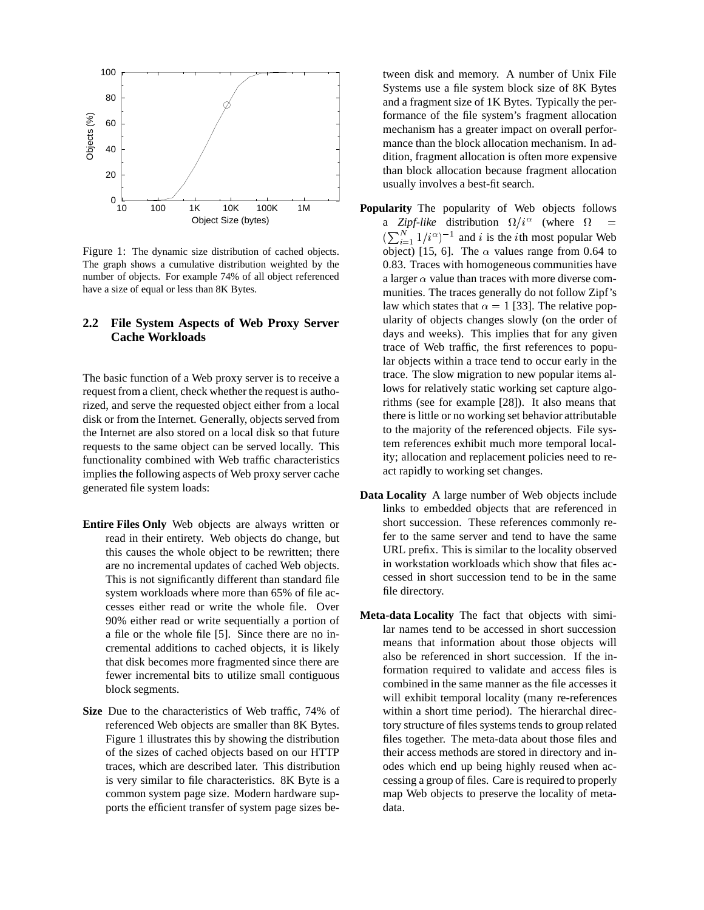

Figure 1: The dynamic size distribution of cached objects. The graph shows a cumulative distribution weighted by the number of objects. For example 74% of all object referenced have a size of equal or less than 8K Bytes.

## **2.2 File System Aspects of Web Proxy Server Cache Workloads**

The basic function of a Web proxy server is to receive a request from a client, check whether the request is authorized, and serve the requested object either from a local disk or from the Internet. Generally, objects served from the Internet are also stored on a local disk so that future requests to the same object can be served locally. This functionality combined with Web traffic characteristics implies the following aspects of Web proxy server cache generated file system loads:

- **Entire Files Only** Web objects are always written or read in their entirety. Web objects do change, but this causes the whole object to be rewritten; there are no incremental updates of cached Web objects. This is not significantly different than standard file system workloads where more than 65% of file accesses either read or write the whole file. Over 90% either read or write sequentially a portion of a file or the whole file [5]. Since there are no incremental additions to cached objects, it is likely that disk becomes more fragmented since there are fewer incremental bits to utilize small contiguous block segments.
- **Size** Due to the characteristics of Web traffic, 74% of referenced Web objects are smaller than 8K Bytes. Figure 1 illustrates this by showing the distribution of the sizes of cached objects based on our HTTP traces, which are described later. This distribution is very similar to file characteristics. 8K Byte is a common system page size. Modern hardware supports the efficient transfer of system page sizes be-

tween disk and memory. A number of Unix File Systems use a file system block size of 8K Bytes and a fragment size of 1K Bytes. Typically the performance of the file system's fragment allocation mechanism has a greater impact on overall performance than the block allocation mechanism. In addition, fragment allocation is often more expensive than block allocation because fragment allocation usually involves a best-fit search.

- **Popularity** The popularity of Web objects follows a *Zipf-like* distribution  $\Omega/i^{\alpha}$  (where  $\Omega$  $(\sum_{i=1}^{N} 1/i^{\alpha})^{-1}$  and i is the ith most popular Web object) [15, 6]. The  $\alpha$  values range from 0.64 to 0.83. Traces with homogeneous communities have a larger  $\alpha$  value than traces with more diverse communities. The traces generally do not follow Zipf's law which states that  $\alpha = 1$  [33]. The relative popularity of objects changes slowly (on the order of days and weeks). This implies that for any given trace of Web traffic, the first references to popular objects within a trace tend to occur early in the trace. The slow migration to new popular items allows for relatively static working set capture algorithms (see for example [28]). It also means that there is little or no working set behavior attributable to the majority of the referenced objects. File system references exhibit much more temporal locality; allocation and replacement policies need to react rapidly to working set changes.
- **Data Locality** A large number of Web objects include links to embedded objects that are referenced in short succession. These references commonly refer to the same server and tend to have the same URL prefix. This is similar to the locality observed in workstation workloads which show that files accessed in short succession tend to be in the same file directory.
- **Meta-data Locality** The fact that objects with similar names tend to be accessed in short succession means that information about those objects will also be referenced in short succession. If the information required to validate and access files is combined in the same manner as the file accesses it will exhibit temporal locality (many re-references within a short time period). The hierarchal directory structure of files systems tends to group related files together. The meta-data about those files and their access methods are stored in directory and inodes which end up being highly reused when accessing a group of files. Care is required to properly map Web objects to preserve the locality of metadata.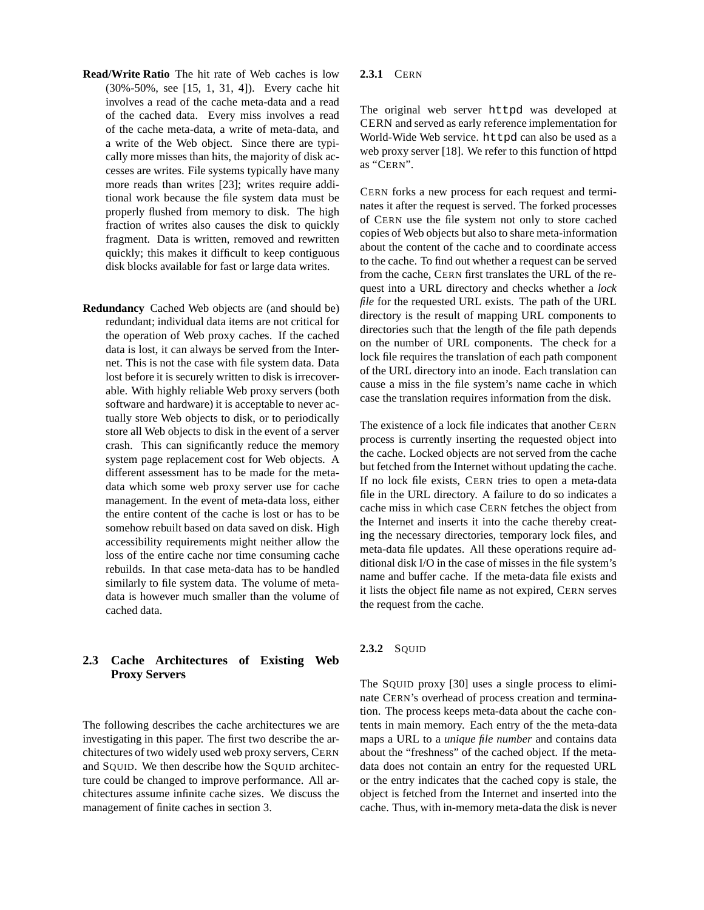- **Read/Write Ratio** The hit rate of Web caches is low (30%-50%, see [15, 1, 31, 4]). Every cache hit involves a read of the cache meta-data and a read of the cached data. Every miss involves a read of the cache meta-data, a write of meta-data, and a write of the Web object. Since there are typically more misses than hits, the majority of disk accesses are writes. File systems typically have many more reads than writes [23]; writes require additional work because the file system data must be properly flushed from memory to disk. The high fraction of writes also causes the disk to quickly fragment. Data is written, removed and rewritten quickly; this makes it difficult to keep contiguous disk blocks available for fast or large data writes.
- **Redundancy** Cached Web objects are (and should be) redundant; individual data items are not critical for the operation of Web proxy caches. If the cached data is lost, it can always be served from the Internet. This is not the case with file system data. Data lost before it is securely written to disk is irrecoverable. With highly reliable Web proxy servers (both software and hardware) it is acceptable to never actually store Web objects to disk, or to periodically store all Web objects to disk in the event of a server crash. This can significantly reduce the memory system page replacement cost for Web objects. A different assessment has to be made for the metadata which some web proxy server use for cache management. In the event of meta-data loss, either the entire content of the cache is lost or has to be somehow rebuilt based on data saved on disk. High accessibility requirements might neither allow the loss of the entire cache nor time consuming cache rebuilds. In that case meta-data has to be handled similarly to file system data. The volume of metadata is however much smaller than the volume of cached data.

## **2.3 Cache Architectures of Existing Web Proxy Servers**

The following describes the cache architectures we are investigating in this paper. The first two describe the architectures of two widely used web proxy servers, CERN and SQUID. We then describe how the SQUID architecture could be changed to improve performance. All architectures assume infinite cache sizes. We discuss the management of finite caches in section 3.

#### **2.3.1** CERN

The original web server httpd was developed at CERN and served as early reference implementation for World-Wide Web service. httpd can also be used as a web proxy server [18]. We refer to this function of httpd as "CERN".

CERN forks a new process for each request and terminates it after the request is served. The forked processes of CERN use the file system not only to store cached copies of Web objects but also to share meta-information about the content of the cache and to coordinate access to the cache. To find out whether a request can be served from the cache, CERN first translates the URL of the request into a URL directory and checks whether a *lock file* for the requested URL exists. The path of the URL directory is the result of mapping URL components to directories such that the length of the file path depends on the number of URL components. The check for a lock file requires the translation of each path component of the URL directory into an inode. Each translation can cause a miss in the file system's name cache in which case the translation requires information from the disk.

The existence of a lock file indicates that another CERN process is currently inserting the requested object into the cache. Locked objects are not served from the cache but fetched from the Internet without updating the cache. If no lock file exists, CERN tries to open a meta-data file in the URL directory. A failure to do so indicates a cache miss in which case CERN fetches the object from the Internet and inserts it into the cache thereby creating the necessary directories, temporary lock files, and meta-data file updates. All these operations require additional disk I/O in the case of misses in the file system's name and buffer cache. If the meta-data file exists and it lists the object file name as not expired, CERN serves the request from the cache.

#### **2.3.2** SQUID

The SQUID proxy [30] uses a single process to eliminate CERN's overhead of process creation and termination. The process keeps meta-data about the cache contents in main memory. Each entry of the the meta-data maps a URL to a *unique file number* and contains data about the "freshness" of the cached object. If the metadata does not contain an entry for the requested URL or the entry indicates that the cached copy is stale, the object is fetched from the Internet and inserted into the cache. Thus, with in-memory meta-data the disk is never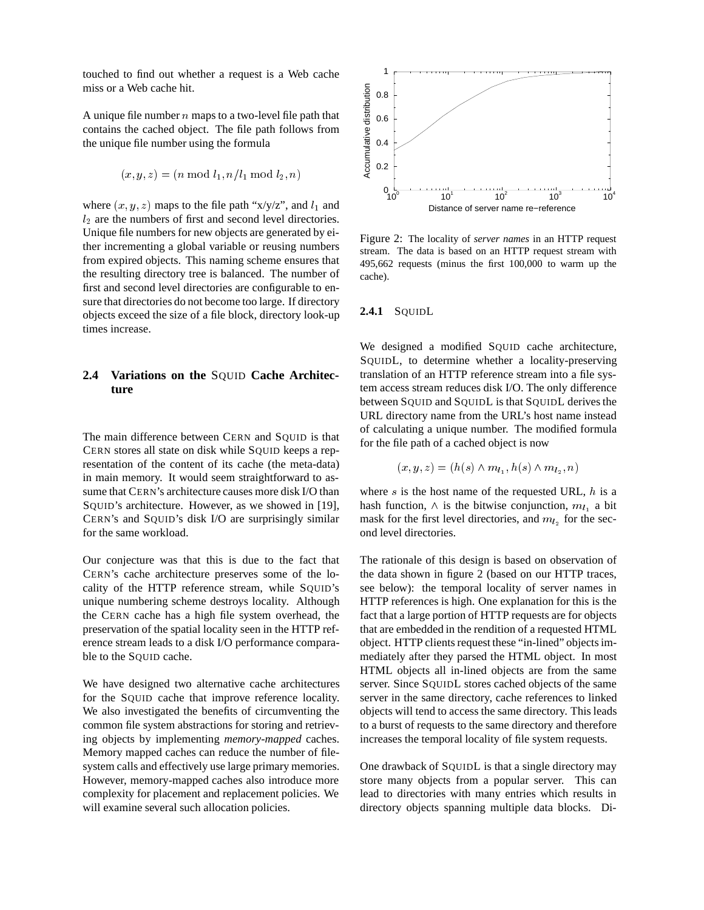touched to find out whether a request is a Web cache miss or a Web cache hit.

A unique file number  $n$  maps to a two-level file path that contains the cached object. The file path follows from the unique file number using the formula

$$
(x, y, z) = (n \mod l_1, n/l_1 \mod l_2, n)
$$

where  $(x, y, z)$  maps to the file path "x/y/z", and  $l_1$  and  $l_2$  are the numbers of first and second level directories. Unique file numbers for new objects are generated by either incrementing a global variable or reusing numbers from expired objects. This naming scheme ensures that the resulting directory tree is balanced. The number of first and second level directories are configurable to ensure that directories do not become too large. If directory objects exceed the size of a file block, directory look-up times increase.

## **2.4 Variations on the** SQUID **Cache Architecture**

The main difference between CERN and SQUID is that CERN stores all state on disk while SQUID keeps a representation of the content of its cache (the meta-data) in main memory. It would seem straightforward to assume that CERN's architecture causes more disk I/O than SQUID's architecture. However, as we showed in [19], CERN's and SQUID's disk I/O are surprisingly similar for the same workload.

Our conjecture was that this is due to the fact that CERN's cache architecture preserves some of the locality of the HTTP reference stream, while SQUID's unique numbering scheme destroys locality. Although the CERN cache has a high file system overhead, the preservation of the spatial locality seen in the HTTP reference stream leads to a disk I/O performance comparable to the SQUID cache.

We have designed two alternative cache architectures for the SQUID cache that improve reference locality. We also investigated the benefits of circumventing the common file system abstractions for storing and retrieving objects by implementing *memory-mapped* caches. Memory mapped caches can reduce the number of filesystem calls and effectively use large primary memories. However, memory-mapped caches also introduce more complexity for placement and replacement policies. We will examine several such allocation policies.



Figure 2: The locality of *server names* in an HTTP request stream. The data is based on an HTTP request stream with 495,662 requests (minus the first 100,000 to warm up the cache).

#### **2.4.1** SQUIDL

We designed a modified SQUID cache architecture, SQUIDL, to determine whether a locality-preserving translation of an HTTP reference stream into a file system access stream reduces disk I/O. The only difference between SQUID and SQUIDL is that SQUIDL derives the URL directory name from the URL's host name instead of calculating a unique number. The modified formula for the file path of a cached object is now

$$
(x, y, z) = (h(s) \wedge m_{l_1}, h(s) \wedge m_{l_2}, n)
$$

where  $s$  is the host name of the requested URL,  $h$  is a hash function,  $\wedge$  is the bitwise conjunction,  $m_{l_1}$  a bit mask for the first level directories, and  $m_{l_2}$  for the second level directories.

The rationale of this design is based on observation of the data shown in figure 2 (based on our HTTP traces, see below): the temporal locality of server names in HTTP references is high. One explanation for this is the fact that a large portion of HTTP requests are for objects that are embedded in the rendition of a requested HTML object. HTTP clients request these "in-lined" objects immediately after they parsed the HTML object. In most HTML objects all in-lined objects are from the same server. Since SQUIDL stores cached objects of the same server in the same directory, cache references to linked objects will tend to access the same directory. This leads to a burst of requests to the same directory and therefore increases the temporal locality of file system requests.

One drawback of SQUIDL is that a single directory may store many objects from a popular server. This can lead to directories with many entries which results in directory objects spanning multiple data blocks. Di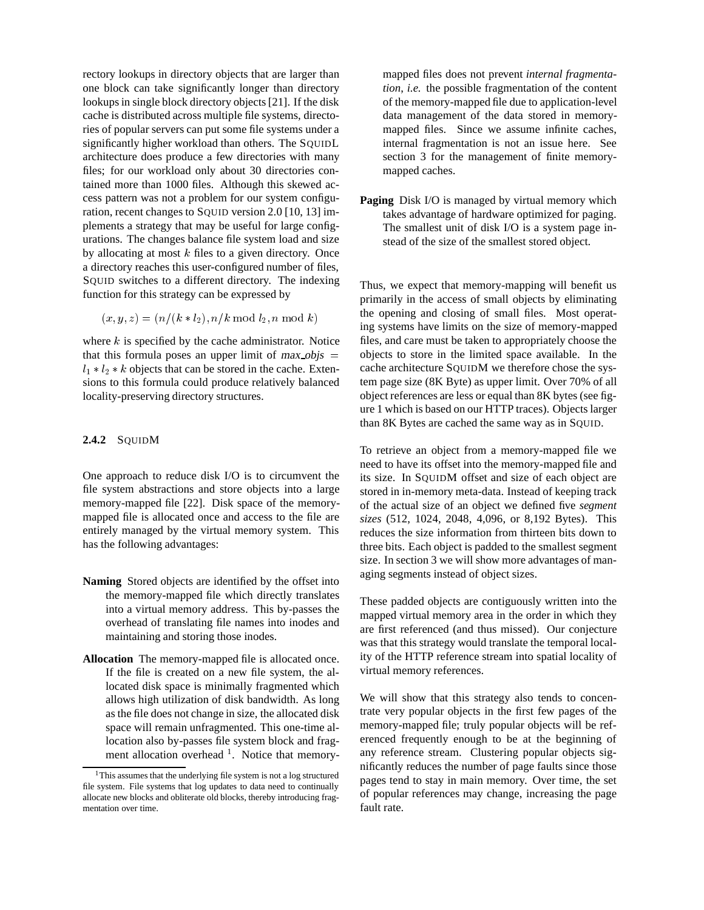rectory lookups in directory objects that are larger than one block can take significantly longer than directory lookups in single block directory objects [21]. If the disk cache is distributed across multiple file systems, directories of popular servers can put some file systems under a significantly higher workload than others. The SQUIDL architecture does produce a few directories with many files; for our workload only about 30 directories contained more than 1000 files. Although this skewed access pattern was not a problem for our system configuration, recent changes to SQUID version 2.0 [10, 13] implements a strategy that may be useful for large configurations. The changes balance file system load and size by allocating at most  $k$  files to a given directory. Once a directory reaches this user-configured number of files, SQUID switches to a different directory. The indexing function for this strategy can be expressed by

$$
(x, y, z) = (n/(k * l_2), n/k \mod l_2, n \mod k)
$$

where  $k$  is specified by the cache administrator. Notice that this formula poses an upper limit of  $max_o \overline{objs}$  =  $l_1 * l_2 * k$  objects that can be stored in the cache. Extensions to this formula could produce relatively balanced locality-preserving directory structures.

#### 2.4.2 SOUIDM

One approach to reduce disk I/O is to circumvent the file system abstractions and store objects into a large memory-mapped file [22]. Disk space of the memorymapped file is allocated once and access to the file are entirely managed by the virtual memory system. This has the following advantages:

- **Naming** Stored objects are identified by the offset into the memory-mapped file which directly translates into a virtual memory address. This by-passes the overhead of translating file names into inodes and maintaining and storing those inodes.
- **Allocation** The memory-mapped file is allocated once. If the file is created on a new file system, the allocated disk space is minimally fragmented which allows high utilization of disk bandwidth. As long as the file does not change in size, the allocated disk space will remain unfragmented. This one-time allocation also by-passes file system block and fragment allocation overhead  $1$ . Notice that memory-

mapped files does not prevent *internal fragmentation*, *i.e.* the possible fragmentation of the content of the memory-mapped file due to application-level data management of the data stored in memorymapped files. Since we assume infinite caches, internal fragmentation is not an issue here. See section 3 for the management of finite memorymapped caches.

**Paging** Disk I/O is managed by virtual memory which takes advantage of hardware optimized for paging. The smallest unit of disk I/O is a system page instead of the size of the smallest stored object.

Thus, we expect that memory-mapping will benefit us primarily in the access of small objects by eliminating the opening and closing of small files. Most operating systems have limits on the size of memory-mapped files, and care must be taken to appropriately choose the objects to store in the limited space available. In the cache architecture SQUIDM we therefore chose the system page size (8K Byte) as upper limit. Over 70% of all object references are less or equal than 8K bytes (see figure 1 which is based on our HTTP traces). Objects larger than 8K Bytes are cached the same way as in SQUID.

To retrieve an object from a memory-mapped file we need to have its offset into the memory-mapped file and its size. In SQUIDM offset and size of each object are stored in in-memory meta-data. Instead of keeping track of the actual size of an object we defined five *segment sizes* (512, 1024, 2048, 4,096, or 8,192 Bytes). This reduces the size information from thirteen bits down to three bits. Each object is padded to the smallest segment size. In section 3 we will show more advantages of managing segments instead of object sizes.

These padded objects are contiguously written into the mapped virtual memory area in the order in which they are first referenced (and thus missed). Our conjecture was that this strategy would translate the temporal locality of the HTTP reference stream into spatial locality of virtual memory references.

We will show that this strategy also tends to concentrate very popular objects in the first few pages of the memory-mapped file; truly popular objects will be referenced frequently enough to be at the beginning of any reference stream. Clustering popular objects significantly reduces the number of page faults since those pages tend to stay in main memory. Over time, the set of popular references may change, increasing the page fault rate.

<sup>&</sup>lt;sup>1</sup>This assumes that the underlying file system is not a log structured file system. File systems that log updates to data need to continually allocate new blocks and obliterate old blocks, thereby introducing fragmentation over time.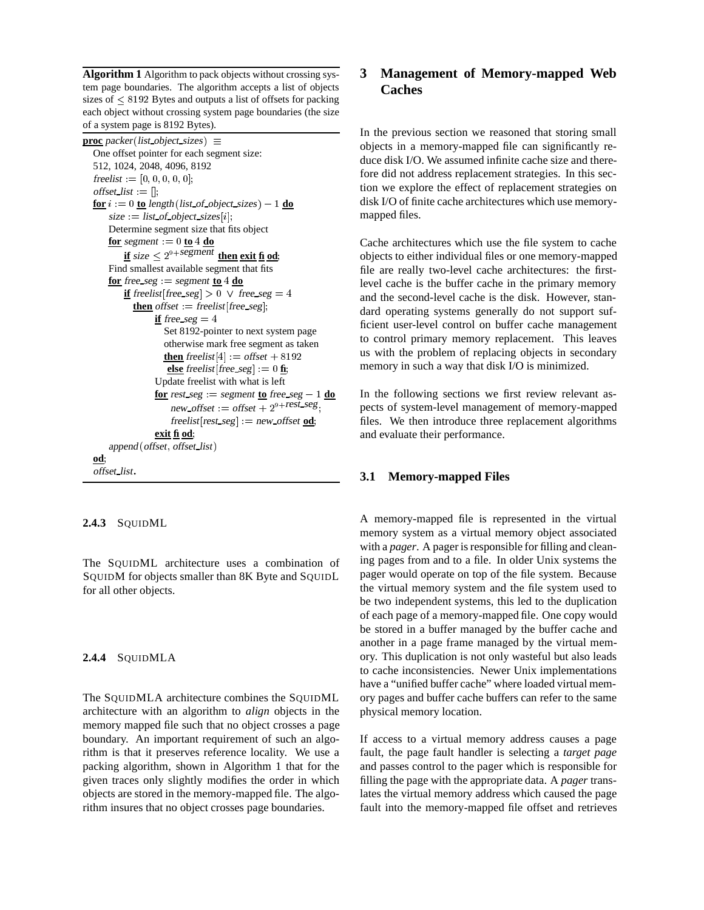**Algorithm 1** Algorithm to pack objects without crossing system page boundaries. The algorithm accepts a list of objects sizes of  $\leq$  8192 Bytes and outputs a list of offsets for packing each object without crossing system page boundaries (the size of a system page is 8192 Bytes).

```
proc packer (list object sizes) \equivOne offset pointer for each segment size:
512, 1024, 2048, 4096, 8192
freelist := [0, 0, 0, 0, 0];
offset list := \parallel:
f{or} i := 0 to length (list of object sizes) -1 do
     size := list of object sizes[i];Determine segment size that fits object
     for segment = 0 to 4 do
          \mathbf{if} size \leq 2^{9+{\rm{segment}}} then exit \mathbf{fi} od;
     Find smallest available segment that fits
     <u>for</u> free seg := segment \underline{\mathbf{to}} 4 \underline{\mathbf{do}}if freelist [free_seg \geq 0 \vee free seg = 4
            then offset = freelist [free_seg];
                  if free seg = 4Set 8192-pointer to next system page
                     otherwise mark free segment as taken
                     then freelist [4] := offset +8192<u>else</u> freelist [free_seg] := 0 fi;
                  Update freelist with what is left
                  <u>for</u> rest seg := segment to free seg -1 do
                       new\_offset := offset + 2^{9+rest\_seg}:
                       freelist [rest\_seg] := new\_offset \underline{od};exit fi od;
     append (offset, offset_list)
od;
 offset list.
```
#### **2.4.3** SQUIDML

The SQUIDML architecture uses a combination of SQUIDM for objects smaller than 8K Byte and SQUIDL for all other objects.

#### **2.4.4** SQUIDMLA

The SQUIDMLA architecture combines the SQUIDML architecture with an algorithm to *align* objects in the memory mapped file such that no object crosses a page boundary. An important requirement of such an algorithm is that it preserves reference locality. We use a packing algorithm, shown in Algorithm 1 that for the given traces only slightly modifies the order in which objects are stored in the memory-mapped file. The algorithm insures that no object crosses page boundaries.

## **3 Management of Memory-mapped Web Caches**

In the previous section we reasoned that storing small objects in a memory-mapped file can significantly reduce disk I/O. We assumed infinite cache size and therefore did not address replacement strategies. In this section we explore the effect of replacement strategies on disk I/O of finite cache architectures which use memorymapped files.

Cache architectures which use the file system to cache objects to either individual files or one memory-mapped file are really two-level cache architectures: the firstlevel cache is the buffer cache in the primary memory and the second-level cache is the disk. However, standard operating systems generally do not support sufficient user-level control on buffer cache management to control primary memory replacement. This leaves us with the problem of replacing objects in secondary memory in such a way that disk I/O is minimized.

In the following sections we first review relevant aspects of system-level management of memory-mapped files. We then introduce three replacement algorithms and evaluate their performance.

#### **3.1 Memory-mapped Files**

A memory-mapped file is represented in the virtual memory system as a virtual memory object associated with a *pager*. A pager is responsible for filling and cleaning pages from and to a file. In older Unix systems the pager would operate on top of the file system. Because the virtual memory system and the file system used to be two independent systems, this led to the duplication of each page of a memory-mapped file. One copy would be stored in a buffer managed by the buffer cache and another in a page frame managed by the virtual memory. This duplication is not only wasteful but also leads to cache inconsistencies. Newer Unix implementations have a "unified buffer cache" where loaded virtual memory pages and buffer cache buffers can refer to the same physical memory location.

If access to a virtual memory address causes a page fault, the page fault handler is selecting a *target page* and passes control to the pager which is responsible for filling the page with the appropriate data. A *pager* translates the virtual memory address which caused the page fault into the memory-mapped file offset and retrieves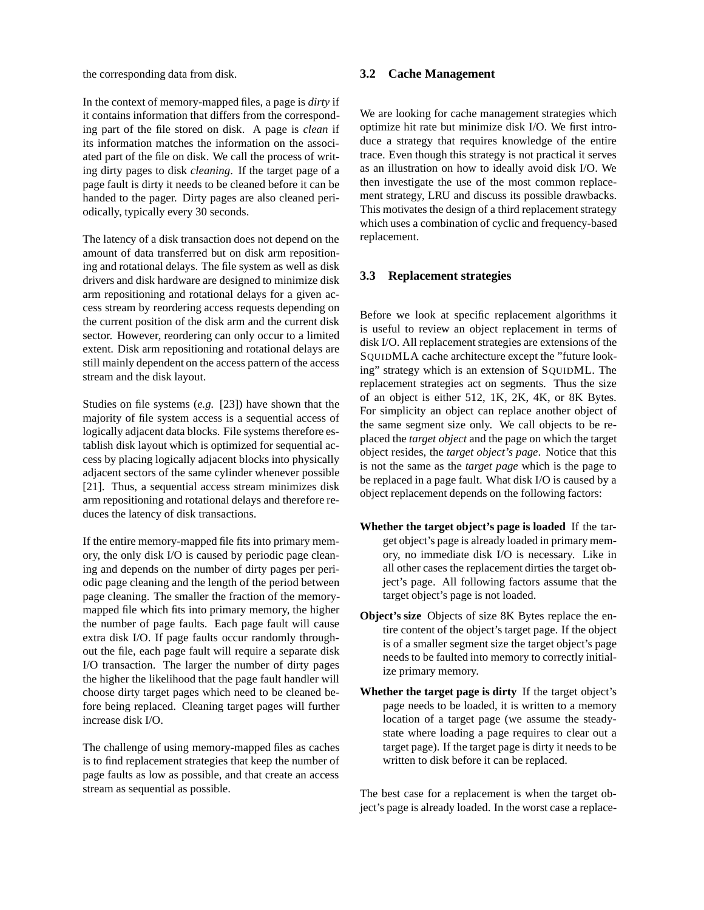the corresponding data from disk.

In the context of memory-mapped files, a page is *dirty* if it contains information that differs from the corresponding part of the file stored on disk. A page is *clean* if its information matches the information on the associated part of the file on disk. We call the process of writing dirty pages to disk *cleaning*. If the target page of a page fault is dirty it needs to be cleaned before it can be handed to the pager. Dirty pages are also cleaned periodically, typically every 30 seconds.

The latency of a disk transaction does not depend on the amount of data transferred but on disk arm repositioning and rotational delays. The file system as well as disk drivers and disk hardware are designed to minimize disk arm repositioning and rotational delays for a given access stream by reordering access requests depending on the current position of the disk arm and the current disk sector. However, reordering can only occur to a limited extent. Disk arm repositioning and rotational delays are still mainly dependent on the access pattern of the access stream and the disk layout.

Studies on file systems (*e.g.* [23]) have shown that the majority of file system access is a sequential access of logically adjacent data blocks. File systems therefore establish disk layout which is optimized for sequential access by placing logically adjacent blocks into physically adjacent sectors of the same cylinder whenever possible [21]. Thus, a sequential access stream minimizes disk arm repositioning and rotational delays and therefore reduces the latency of disk transactions.

If the entire memory-mapped file fits into primary memory, the only disk I/O is caused by periodic page cleaning and depends on the number of dirty pages per periodic page cleaning and the length of the period between page cleaning. The smaller the fraction of the memorymapped file which fits into primary memory, the higher the number of page faults. Each page fault will cause extra disk I/O. If page faults occur randomly throughout the file, each page fault will require a separate disk I/O transaction. The larger the number of dirty pages the higher the likelihood that the page fault handler will choose dirty target pages which need to be cleaned before being replaced. Cleaning target pages will further increase disk I/O.

The challenge of using memory-mapped files as caches is to find replacement strategies that keep the number of page faults as low as possible, and that create an access stream as sequential as possible.

## **3.2 Cache Management**

We are looking for cache management strategies which optimize hit rate but minimize disk I/O. We first introduce a strategy that requires knowledge of the entire trace. Even though this strategy is not practical it serves as an illustration on how to ideally avoid disk I/O. We then investigate the use of the most common replacement strategy, LRU and discuss its possible drawbacks. This motivates the design of a third replacement strategy which uses a combination of cyclic and frequency-based replacement.

## **3.3 Replacement strategies**

Before we look at specific replacement algorithms it is useful to review an object replacement in terms of disk I/O. All replacement strategies are extensions of the SQUIDMLA cache architecture except the "future looking" strategy which is an extension of SQUIDML. The replacement strategies act on segments. Thus the size of an object is either 512, 1K, 2K, 4K, or 8K Bytes. For simplicity an object can replace another object of the same segment size only. We call objects to be replaced the *target object* and the page on which the target object resides, the *target object's page*. Notice that this is not the same as the *target page* which is the page to be replaced in a page fault. What disk I/O is caused by a object replacement depends on the following factors:

- **Whether the target object's page is loaded** If the target object's page is already loaded in primary memory, no immediate disk I/O is necessary. Like in all other cases the replacement dirties the target object's page. All following factors assume that the target object's page is not loaded.
- **Object's size** Objects of size 8K Bytes replace the entire content of the object's target page. If the object is of a smaller segment size the target object's page needs to be faulted into memory to correctly initialize primary memory.
- **Whether the target page is dirty** If the target object's page needs to be loaded, it is written to a memory location of a target page (we assume the steadystate where loading a page requires to clear out a target page). If the target page is dirty it needs to be written to disk before it can be replaced.

The best case for a replacement is when the target object's page is already loaded. In the worst case a replace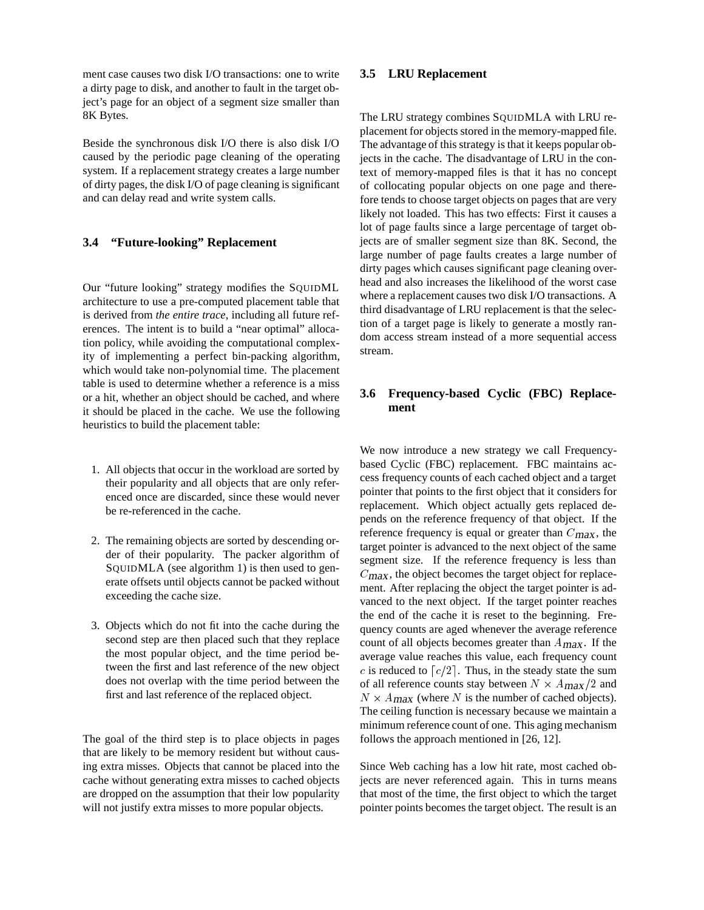ment case causes two disk I/O transactions: one to write a dirty page to disk, and another to fault in the target object's page for an object of a segment size smaller than 8K Bytes.

Beside the synchronous disk I/O there is also disk I/O caused by the periodic page cleaning of the operating system. If a replacement strategy creates a large number of dirty pages, the disk I/O of page cleaning is significant and can delay read and write system calls.

## **3.4 "Future-looking" Replacement**

Our "future looking" strategy modifies the SQUIDML architecture to use a pre-computed placement table that is derived from *the entire trace*, including all future references. The intent is to build a "near optimal" allocation policy, while avoiding the computational complexity of implementing a perfect bin-packing algorithm, which would take non-polynomial time. The placement table is used to determine whether a reference is a miss or a hit, whether an object should be cached, and where it should be placed in the cache. We use the following heuristics to build the placement table:

- 1. All objects that occur in the workload are sorted by their popularity and all objects that are only referenced once are discarded, since these would never be re-referenced in the cache.
- 2. The remaining objects are sorted by descending order of their popularity. The packer algorithm of SQUIDMLA (see algorithm 1) is then used to generate offsets until objects cannot be packed without exceeding the cache size.
- 3. Objects which do not fit into the cache during the second step are then placed such that they replace the most popular object, and the time period between the first and last reference of the new object does not overlap with the time period between the first and last reference of the replaced object.

The goal of the third step is to place objects in pages that are likely to be memory resident but without causing extra misses. Objects that cannot be placed into the cache without generating extra misses to cached objects are dropped on the assumption that their low popularity will not justify extra misses to more popular objects.

## **3.5 LRU Replacement**

The LRU strategy combines SQUIDMLA with LRU replacement for objects stored in the memory-mapped file. The advantage of this strategy is that it keeps popular objects in the cache. The disadvantage of LRU in the context of memory-mapped files is that it has no concept of collocating popular objects on one page and therefore tends to choose target objects on pages that are very likely not loaded. This has two effects: First it causes a lot of page faults since a large percentage of target objects are of smaller segment size than 8K. Second, the large number of page faults creates a large number of dirty pages which causes significant page cleaning overhead and also increases the likelihood of the worst case where a replacement causes two disk I/O transactions. A third disadvantage of LRU replacement is that the selection of a target page is likely to generate a mostly random access stream instead of a more sequential access stream.

## **3.6 Frequency-based Cyclic (FBC) Replacement**

We now introduce a new strategy we call Frequencybased Cyclic (FBC) replacement. FBC maintains access frequency counts of each cached object and a target pointer that points to the first object that it considers for replacement. Which object actually gets replaced depends on the reference frequency of that object. If the reference frequency is equal or greater than  $C_{\text{max}}$ , the target pointer is advanced to the next object of the same segment size. If the reference frequency is less than  $C_{\text{max}}$ , the object becomes the target object for replacement. After replacing the object the target pointer is advanced to the next object. If the target pointer reaches the end of the cache it is reset to the beginning. Frequency counts are aged whenever the average reference count of all objects becomes greater than  $A_{\text{max}}$ . If the average value reaches this value, each frequency count c is reduced to  $\lceil c/2 \rceil$ . Thus, in the steady state the sum of all reference counts stay between  $N \times A_{\text{max}}/2$  and  $N \times A_{\text{max}}$  (where N is the number of cached objects). The ceiling function is necessary because we maintain a minimum reference count of one. This aging mechanism follows the approach mentioned in [26, 12].

Since Web caching has a low hit rate, most cached objects are never referenced again. This in turns means that most of the time, the first object to which the target pointer points becomes the target object. The result is an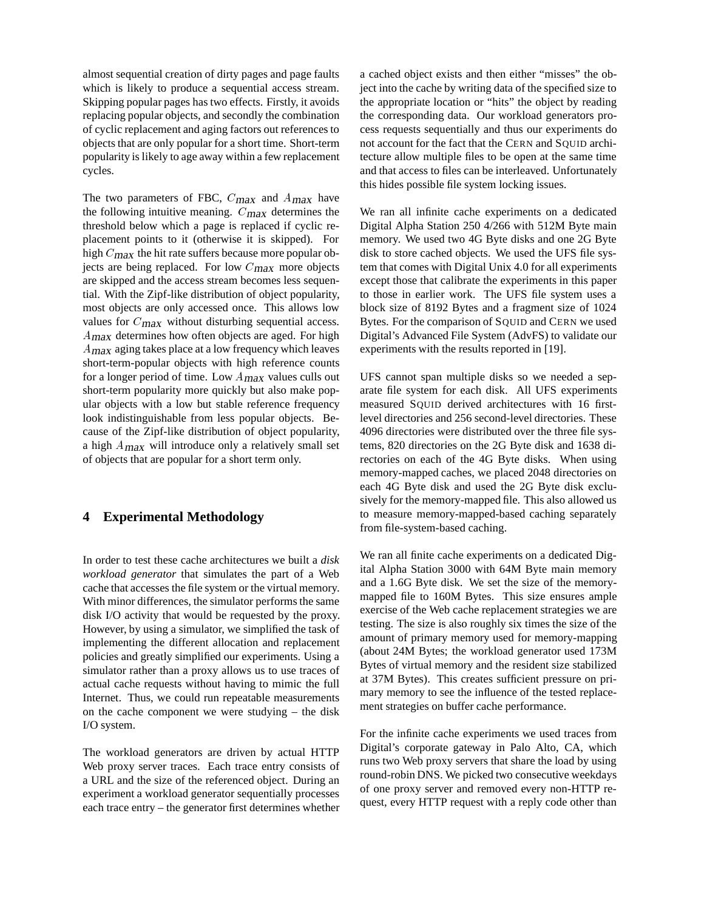almost sequential creation of dirty pages and page faults which is likely to produce a sequential access stream. Skipping popular pages has two effects. Firstly, it avoids replacing popular objects, and secondly the combination of cyclic replacement and aging factors out references to objects that are only popular for a short time. Short-term popularity is likely to age away within a few replacement cycles.

The two parameters of FBC,  $C_{\text{max}}$  and  $A_{\text{max}}$  have the following intuitive meaning.  $C_{\text{max}}$  determines the threshold below which a page is replaced if cyclic replacement points to it (otherwise it is skipped). For high  $C_{\text{max}}$  the hit rate suffers because more popular objects are being replaced. For low  $C_{\text{max}}$  more objects are skipped and the access stream becomes less sequential. With the Zipf-like distribution of object popularity, most objects are only accessed once. This allows low values for  $C_{\text{max}}$  without disturbing sequential access. <sup>A</sup>max determines how often objects are aged. For high <sup>A</sup>max aging takes place at a low frequency which leaves short-term-popular objects with high reference counts for a longer period of time. Low  $A_{\text{max}}$  values culls out short-term popularity more quickly but also make popular objects with a low but stable reference frequency look indistinguishable from less popular objects. Because of the Zipf-like distribution of object popularity, a high  $A_{\text{max}}$  will introduce only a relatively small set of objects that are popular for a short term only.

## **4 Experimental Methodology**

In order to test these cache architectures we built a *disk workload generator* that simulates the part of a Web cache that accesses the file system or the virtual memory. With minor differences, the simulator performs the same disk I/O activity that would be requested by the proxy. However, by using a simulator, we simplified the task of implementing the different allocation and replacement policies and greatly simplified our experiments. Using a simulator rather than a proxy allows us to use traces of actual cache requests without having to mimic the full Internet. Thus, we could run repeatable measurements on the cache component we were studying – the disk I/O system.

The workload generators are driven by actual HTTP Web proxy server traces. Each trace entry consists of a URL and the size of the referenced object. During an experiment a workload generator sequentially processes each trace entry – the generator first determines whether a cached object exists and then either "misses" the object into the cache by writing data of the specified size to the appropriate location or "hits" the object by reading the corresponding data. Our workload generators process requests sequentially and thus our experiments do not account for the fact that the CERN and SQUID architecture allow multiple files to be open at the same time and that access to files can be interleaved. Unfortunately this hides possible file system locking issues.

We ran all infinite cache experiments on a dedicated Digital Alpha Station 250 4/266 with 512M Byte main memory. We used two 4G Byte disks and one 2G Byte disk to store cached objects. We used the UFS file system that comes with Digital Unix 4.0 for all experiments except those that calibrate the experiments in this paper to those in earlier work. The UFS file system uses a block size of 8192 Bytes and a fragment size of 1024 Bytes. For the comparison of SQUID and CERN we used Digital's Advanced File System (AdvFS) to validate our experiments with the results reported in [19].

UFS cannot span multiple disks so we needed a separate file system for each disk. All UFS experiments measured SQUID derived architectures with 16 firstlevel directories and 256 second-level directories. These 4096 directories were distributed over the three file systems, 820 directories on the 2G Byte disk and 1638 directories on each of the 4G Byte disks. When using memory-mapped caches, we placed 2048 directories on each 4G Byte disk and used the 2G Byte disk exclusively for the memory-mapped file. This also allowed us to measure memory-mapped-based caching separately from file-system-based caching.

We ran all finite cache experiments on a dedicated Digital Alpha Station 3000 with 64M Byte main memory and a 1.6G Byte disk. We set the size of the memorymapped file to 160M Bytes. This size ensures ample exercise of the Web cache replacement strategies we are testing. The size is also roughly six times the size of the amount of primary memory used for memory-mapping (about 24M Bytes; the workload generator used 173M Bytes of virtual memory and the resident size stabilized at 37M Bytes). This creates sufficient pressure on primary memory to see the influence of the tested replacement strategies on buffer cache performance.

For the infinite cache experiments we used traces from Digital's corporate gateway in Palo Alto, CA, which runs two Web proxy servers that share the load by using round-robin DNS. We picked two consecutive weekdays of one proxy server and removed every non-HTTP request, every HTTP request with a reply code other than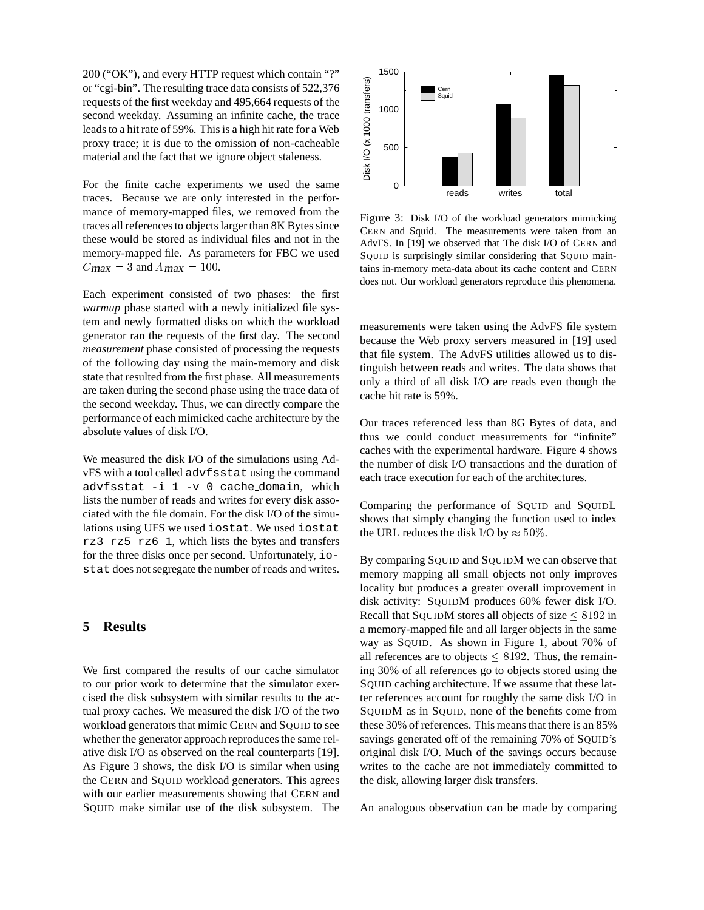200 ("OK"), and every HTTP request which contain "?" or "cgi-bin". The resulting trace data consists of 522,376 requests of the first weekday and 495,664 requests of the second weekday. Assuming an infinite cache, the trace leads to a hit rate of 59%. This is a high hit rate for a Web proxy trace; it is due to the omission of non-cacheable material and the fact that we ignore object staleness.

For the finite cache experiments we used the same traces. Because we are only interested in the performance of memory-mapped files, we removed from the traces all references to objects larger than 8K Bytes since these would be stored as individual files and not in the memory-mapped file. As parameters for FBC we used  $C_{\text{max}} = 3$  and  $A_{\text{max}} = 100$ .

Each experiment consisted of two phases: the first *warmup* phase started with a newly initialized file system and newly formatted disks on which the workload generator ran the requests of the first day. The second *measurement* phase consisted of processing the requests of the following day using the main-memory and disk state that resulted from the first phase. All measurements are taken during the second phase using the trace data of the second weekday. Thus, we can directly compare the performance of each mimicked cache architecture by the absolute values of disk I/O.

We measured the disk I/O of the simulations using AdvFS with a tool called advfsstat using the command advfsstat -i 1 -v 0 cache domain, which lists the number of reads and writes for every disk associated with the file domain. For the disk I/O of the simulations using UFS we used iostat. We used iostat rz3 rz5 rz6 1, which lists the bytes and transfers for the three disks once per second. Unfortunately, iostat does not segregate the number of reads and writes.

## **5 Results**

We first compared the results of our cache simulator to our prior work to determine that the simulator exercised the disk subsystem with similar results to the actual proxy caches. We measured the disk I/O of the two workload generators that mimic CERN and SQUID to see whether the generator approach reproduces the same relative disk I/O as observed on the real counterparts [19]. As Figure 3 shows, the disk I/O is similar when using the CERN and SQUID workload generators. This agrees with our earlier measurements showing that CERN and SQUID make similar use of the disk subsystem. The



Figure 3: Disk I/O of the workload generators mimicking CERN and Squid. The measurements were taken from an AdvFS. In [19] we observed that The disk I/O of CERN and SQUID is surprisingly similar considering that SQUID maintains in-memory meta-data about its cache content and CERN does not. Our workload generators reproduce this phenomena.

measurements were taken using the AdvFS file system because the Web proxy servers measured in [19] used that file system. The AdvFS utilities allowed us to distinguish between reads and writes. The data shows that only a third of all disk I/O are reads even though the cache hit rate is 59%.

Our traces referenced less than 8G Bytes of data, and thus we could conduct measurements for "infinite" caches with the experimental hardware. Figure 4 shows the number of disk I/O transactions and the duration of each trace execution for each of the architectures.

Comparing the performance of SQUID and SQUIDL shows that simply changing the function used to index the URL reduces the disk I/O by  $\approx 50\%$ .

By comparing SQUID and SQUIDM we can observe that memory mapping all small objects not only improves locality but produces a greater overall improvement in disk activity: SQUIDM produces 60% fewer disk I/O. Recall that SQUIDM stores all objects of size  $\leq 8192$  in a memory-mapped file and all larger objects in the same way as SQUID. As shown in Figure 1, about 70% of all references are to objects  $\leq 8192$ . Thus, the remaining 30% of all references go to objects stored using the SQUID caching architecture. If we assume that these latter references account for roughly the same disk I/O in SQUIDM as in SQUID, none of the benefits come from these 30% of references. This means that there is an 85% savings generated off of the remaining 70% of SQUID's original disk I/O. Much of the savings occurs because writes to the cache are not immediately committed to the disk, allowing larger disk transfers.

An analogous observation can be made by comparing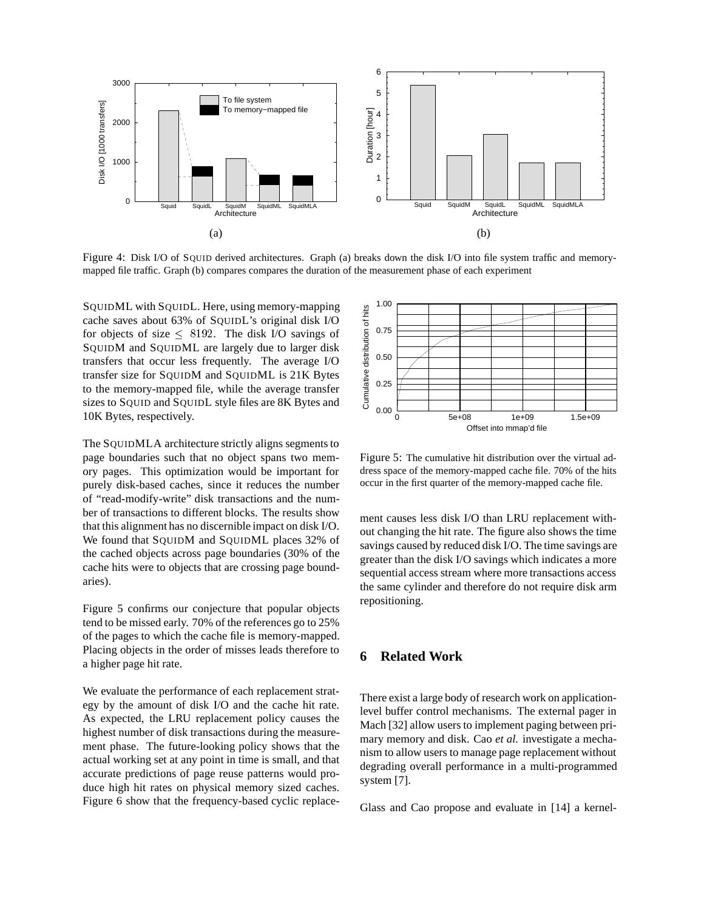

Figure 4: Disk I/O of SQUID derived architectures. Graph (a) breaks down the disk I/O into file system traffic and memorymapped file traffic. Graph (b) compares compares the duration of the measurement phase of each experiment

SQUIDML with SQUIDL. Here, using memory-mapping cache saves about 63% of SQUIDL's original disk I/O for objects of size  $\leq$  8192. The disk I/O savings of SQUIDM and SQUIDML are largely due to larger disk transfers that occur less frequently. The average I/O transfer size for SQUIDM and SQUIDML is 21K Bytes to the memory-mapped file, while the average transfer sizes to SQUID and SQUIDL style files are 8K Bytes and 10K Bytes, respectively.

The SQUIDMLA architecture strictly aligns segments to page boundaries such that no object spans two memory pages. This optimization would be important for purely disk-based caches, since it reduces the number of "read-modify-write" disk transactions and the number of transactions to different blocks. The results show that this alignment has no discernible impact on disk I/O. We found that SQUIDM and SQUIDML places 32% of the cached objects across page boundaries (30% of the cache hits were to objects that are crossing page boundaries).

Figure 5 confirms our conjecture that popular objects tend to be missed early. 70% of the references go to 25% of the pages to which the cache file is memory-mapped. Placing objects in the order of misses leads therefore to a higher page hit rate.

We evaluate the performance of each replacement strategy by the amount of disk I/O and the cache hit rate. As expected, the LRU replacement policy causes the highest number of disk transactions during the measurement phase. The future-looking policy shows that the actual working set at any point in time is small, and that accurate predictions of page reuse patterns would produce high hit rates on physical memory sized caches. Figure 6 show that the frequency-based cyclic replace-



Figure 5: The cumulative hit distribution over the virtual address space of the memory-mapped cache file. 70% of the hits occur in the first quarter of the memory-mapped cache file.

ment causes less disk I/O than LRU replacement without changing the hit rate. The figure also shows the time savings caused by reduced disk I/O. The time savings are greater than the disk I/O savings which indicates a more sequential access stream where more transactions access the same cylinder and therefore do not require disk arm repositioning.

# **6 Related Work**

There exist a large body of research work on applicationlevel buffer control mechanisms. The external pager in Mach [32] allow users to implement paging between primary memory and disk. Cao *et al.* investigate a mechanism to allow users to manage page replacement without degrading overall performance in a multi-programmed system [7].

Glass and Cao propose and evaluate in [14] a kernel-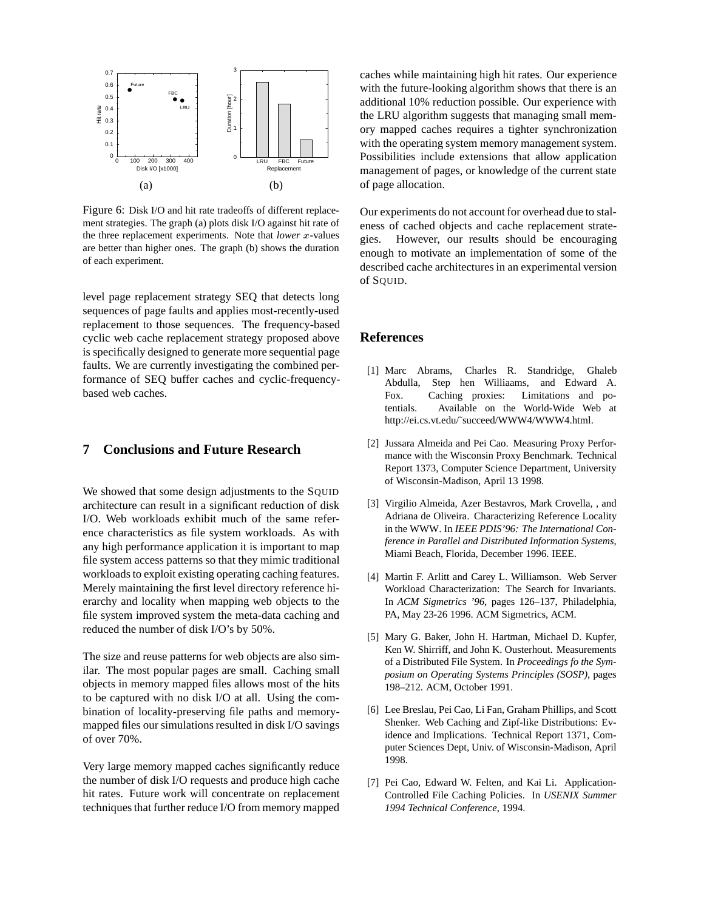

Figure 6: Disk I/O and hit rate tradeoffs of different replacement strategies. The graph (a) plots disk I/O against hit rate of the three replacement experiments. Note that *lower* <sup>x</sup>-values are better than higher ones. The graph (b) shows the duration of each experiment.

level page replacement strategy SEQ that detects long sequences of page faults and applies most-recently-used replacement to those sequences. The frequency-based cyclic web cache replacement strategy proposed above is specifically designed to generate more sequential page faults. We are currently investigating the combined performance of SEQ buffer caches and cyclic-frequencybased web caches.

## **7 Conclusions and Future Research**

We showed that some design adjustments to the SQUID architecture can result in a significant reduction of disk I/O. Web workloads exhibit much of the same reference characteristics as file system workloads. As with any high performance application it is important to map file system access patterns so that they mimic traditional workloads to exploit existing operating caching features. Merely maintaining the first level directory reference hierarchy and locality when mapping web objects to the file system improved system the meta-data caching and reduced the number of disk I/O's by 50%.

The size and reuse patterns for web objects are also similar. The most popular pages are small. Caching small objects in memory mapped files allows most of the hits to be captured with no disk I/O at all. Using the combination of locality-preserving file paths and memorymapped files our simulations resulted in disk I/O savings of over 70%.

Very large memory mapped caches significantly reduce the number of disk I/O requests and produce high cache hit rates. Future work will concentrate on replacement techniques that further reduce I/O from memory mapped

caches while maintaining high hit rates. Our experience with the future-looking algorithm shows that there is an additional 10% reduction possible. Our experience with the LRU algorithm suggests that managing small memory mapped caches requires a tighter synchronization with the operating system memory management system. Possibilities include extensions that allow application management of pages, or knowledge of the current state of page allocation.

Our experiments do not account for overhead due to staleness of cached objects and cache replacement strategies. However, our results should be encouraging enough to motivate an implementation of some of the described cache architectures in an experimental version of SOUID.

## **References**

- [1] Marc Abrams, Charles R. Standridge, Ghaleb Abdulla, Step hen Williaams, and Edward A. Fox. Caching proxies: Limitations and potentials. Available on the World-Wide Web at http://ei.cs.vt.edu/˜succeed/WWW4/WWW4.html.
- [2] Jussara Almeida and Pei Cao. Measuring Proxy Performance with the Wisconsin Proxy Benchmark. Technical Report 1373, Computer Science Department, University of Wisconsin-Madison, April 13 1998.
- [3] Virgilio Almeida, Azer Bestavros, Mark Crovella, , and Adriana de Oliveira. Characterizing Reference Locality in the WWW. In *IEEE PDIS'96: The International Conference in Parallel and Distributed Information Systems*, Miami Beach, Florida, December 1996. IEEE.
- [4] Martin F. Arlitt and Carey L. Williamson. Web Server Workload Characterization: The Search for Invariants. In *ACM Sigmetrics '96*, pages 126–137, Philadelphia, PA, May 23-26 1996. ACM Sigmetrics, ACM.
- [5] Mary G. Baker, John H. Hartman, Michael D. Kupfer, Ken W. Shirriff, and John K. Ousterhout. Measurements of a Distributed File System. In *Proceedings fo the Symposium on Operating Systems Principles (SOSP)*, pages 198–212. ACM, October 1991.
- [6] Lee Breslau, Pei Cao, Li Fan, Graham Phillips, and Scott Shenker. Web Caching and Zipf-like Distributions: Evidence and Implications. Technical Report 1371, Computer Sciences Dept, Univ. of Wisconsin-Madison, April 1998.
- [7] Pei Cao, Edward W. Felten, and Kai Li. Application-Controlled File Caching Policies. In *USENIX Summer 1994 Technical Conference*, 1994.